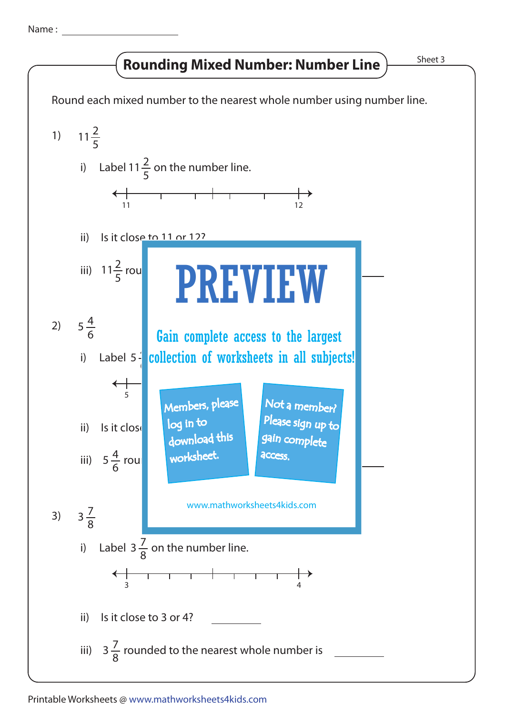Name :

## Rounding Mixed Number: Number Line  $\frac{\text{Sheet 3}}{\text{Sheet 3}}$